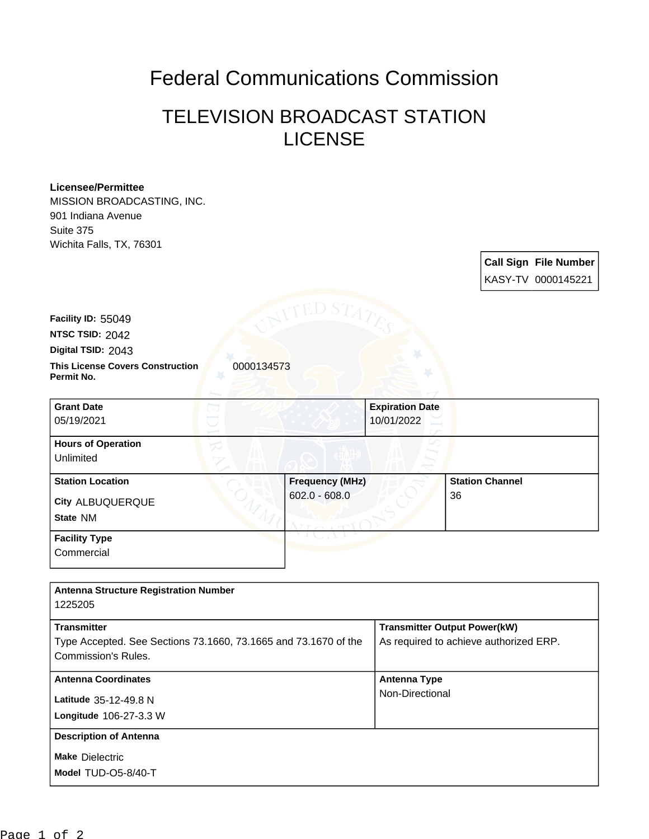## Federal Communications Commission

## TELEVISION BROADCAST STATION LICENSE

## **Licensee/Permittee**

MISSION BROADCASTING, INC. 901 Indiana Avenue Suite 375 Wichita Falls, TX, 76301

**Call Sign File Number** KASY-TV 0000145221

**Facility ID:** 55049

**NTSC TSID:** 2042

**Digital TSID:** 2043

**This License Covers Construction**  0000134573 **Permit No.**

**State** NM **City** ALBUQUERQUE **Grant Date** 05/19/2021 **Expiration Date** 10/01/2022 **Hours of Operation** Unlimited **Station Location Frequency (MHz)** 602.0 - 608.0 **Station Channel** 36 **Facility Type Commercial** 

| <b>Antenna Structure Registration Number</b>                    |                                        |
|-----------------------------------------------------------------|----------------------------------------|
| 1225205                                                         |                                        |
| <b>Transmitter</b>                                              | <b>Transmitter Output Power(kW)</b>    |
| Type Accepted. See Sections 73.1660, 73.1665 and 73.1670 of the | As required to achieve authorized ERP. |
| Commission's Rules.                                             |                                        |
| <b>Antenna Coordinates</b>                                      | <b>Antenna Type</b>                    |
| Latitude 35-12-49.8 N                                           | Non-Directional                        |
| Longitude 106-27-3.3 W                                          |                                        |
| <b>Description of Antenna</b>                                   |                                        |
| <b>Make Dielectric</b>                                          |                                        |
| Model TUD-O5-8/40-T                                             |                                        |